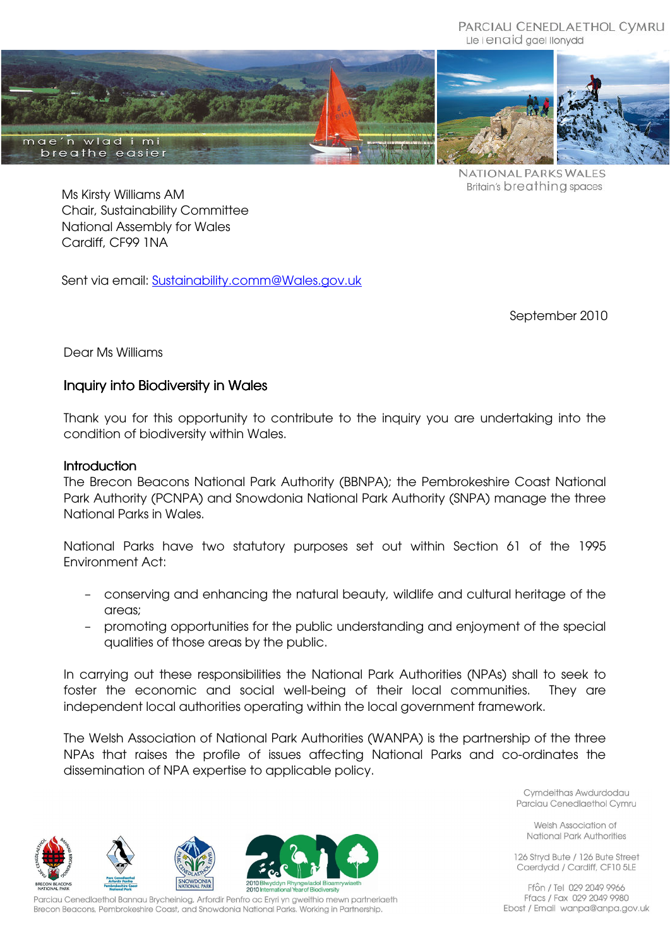PARCIAU CENEDLAETHOL CYMRU Lle i enaid gael llonydd





NATIONAL PARKS WALES Britain's breathing spaces

Ms Kirsty Williams AM Chair, Sustainability Committee National Assembly for Wales Cardiff, CF99 1NA

Sent via email: Sustainability.comm@Wales.gov.uk

September 2010

Dear Ms Williams

# Inquiry into Biodiversity in Wales

Thank you for this opportunity to contribute to the inquiry you are undertaking into the condition of biodiversity within Wales.

#### **Introduction**

The Brecon Beacons National Park Authority (BBNPA); the Pembrokeshire Coast National Park Authority (PCNPA) and Snowdonia National Park Authority (SNPA) manage the three National Parks in Wales.

National Parks have two statutory purposes set out within Section 61 of the 1995 Environment Act:

- conserving and enhancing the natural beauty, wildlife and cultural heritage of the areas;
- promoting opportunities for the public understanding and enjoyment of the special qualities of those areas by the public.

In carrying out these responsibilities the National Park Authorities (NPAs) shall to seek to foster the economic and social well-being of their local communities. They are independent local authorities operating within the local government framework.

The Welsh Association of National Park Authorities (WANPA) is the partnership of the three NPAs that raises the profile of issues affecting National Parks and co-ordinates the dissemination of NPA expertise to applicable policy.

> Cymdeithas Awdurdodau Parciau Cenedlaethol Cymru

Welsh Association of National Park Authorities

126 Strvd Bute / 126 Bute Street Caerdydd / Cardiff, CF10 5LE

Ffôn / Tel 029 2049 9966 Ffacs / Fax 029 2049 9980 Ebost / Email wanpa@anpa.gov.uk



Parciau Cenedlaethol Bannau Brycheiniog, Arfordir Penfro ac Eryri yn gweithio mewn partneriaeth Brecon Beacons, Pembrokeshire Coast, and Snowdonia National Parks. Working in Partnership.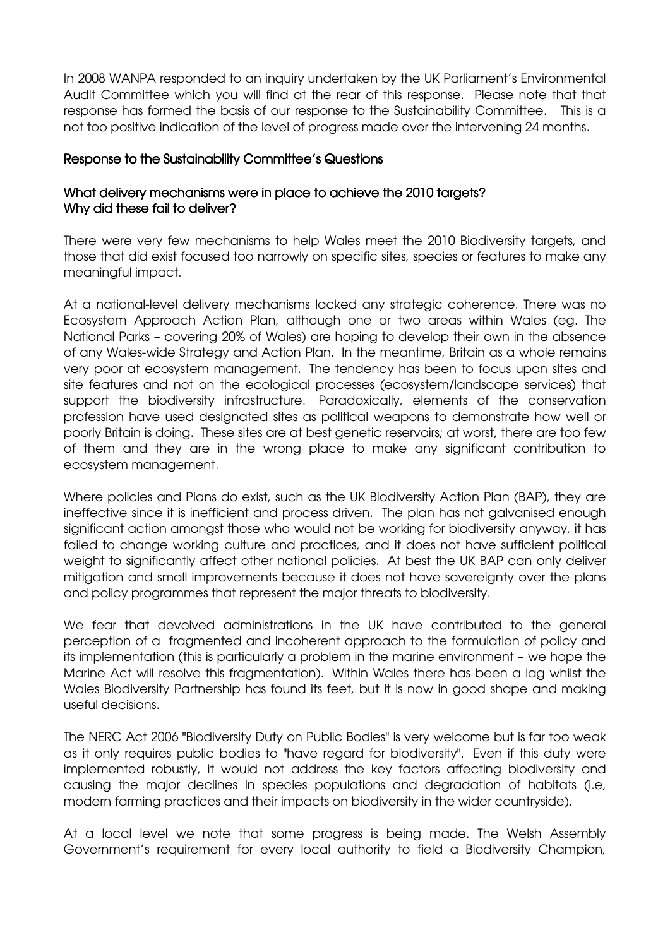In 2008 WANPA responded to an inquiry undertaken by the UK Parliament's Environmental Audit Committee which you will find at the rear of this response. Please note that that response has formed the basis of our response to the Sustainability Committee. This is a not too positive indication of the level of progress made over the intervening 24 months.

#### Response to the Sustainability Committee's Questions

## What delivery mechanisms were in place to achieve the 2010 targets? Why did these fail to deliver?

There were very few mechanisms to help Wales meet the 2010 Biodiversity targets, and those that did exist focused too narrowly on specific sites, species or features to make any meaningful impact.

At a national-level delivery mechanisms lacked any strategic coherence. There was no Ecosystem Approach Action Plan, although one or two areas within Wales (eg. The National Parks – covering 20% of Wales) are hoping to develop their own in the absence of any Wales-wide Strategy and Action Plan. In the meantime, Britain as a whole remains very poor at ecosystem management. The tendency has been to focus upon sites and site features and not on the ecological processes (ecosystem/landscape services) that support the biodiversity infrastructure. Paradoxically, elements of the conservation profession have used designated sites as political weapons to demonstrate how well or poorly Britain is doing. These sites are at best genetic reservoirs; at worst, there are too few of them and they are in the wrong place to make any significant contribution to ecosystem management.

Where policies and Plans do exist, such as the UK Biodiversity Action Plan (BAP), they are ineffective since it is inefficient and process driven. The plan has not galvanised enough significant action amongst those who would not be working for biodiversity anyway, it has failed to change working culture and practices, and it does not have sufficient political weight to significantly affect other national policies. At best the UK BAP can only deliver mitigation and small improvements because it does not have sovereignty over the plans and policy programmes that represent the major threats to biodiversity.

We fear that devolved administrations in the UK have contributed to the general perception of a fragmented and incoherent approach to the formulation of policy and its implementation (this is particularly a problem in the marine environment – we hope the Marine Act will resolve this fragmentation). Within Wales there has been a lag whilst the Wales Biodiversity Partnership has found its feet, but it is now in good shape and making useful decisions.

The NERC Act 2006 "Biodiversity Duty on Public Bodies" is very welcome but is far too weak as it only requires public bodies to "have regard for biodiversity". Even if this duty were implemented robustly, it would not address the key factors affecting biodiversity and causing the major declines in species populations and degradation of habitats (i.e, modern farming practices and their impacts on biodiversity in the wider countryside).

At a local level we note that some progress is being made. The Welsh Assembly Government's requirement for every local authority to field a Biodiversity Champion,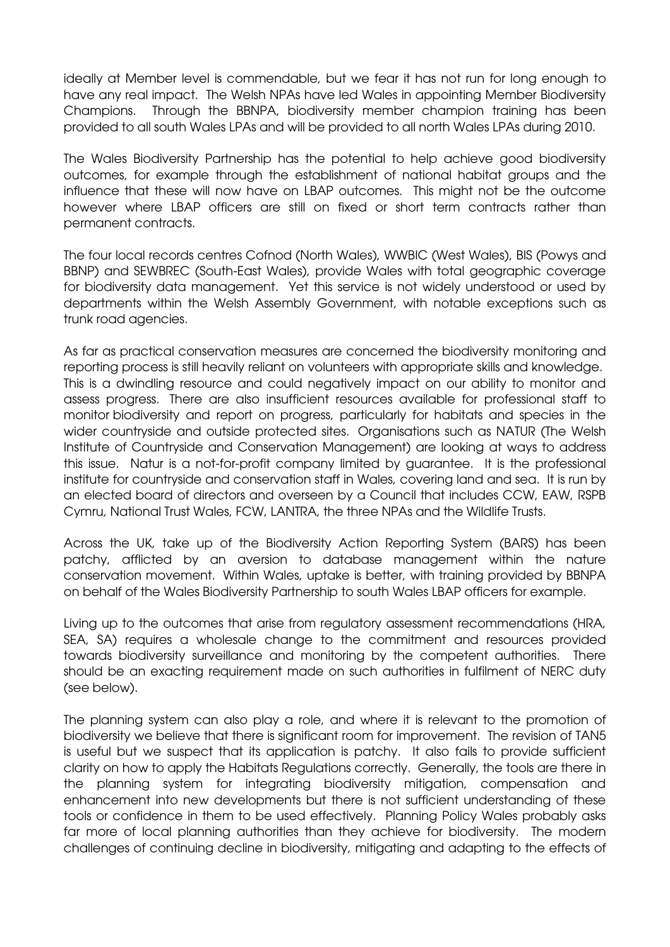ideally at Member level is commendable, but we fear it has not run for long enough to have any real impact. The Welsh NPAs have led Wales in appointing Member Biodiversity Champions. Through the BBNPA, biodiversity member champion training has been provided to all south Wales LPAs and will be provided to all north Wales LPAs during 2010.

The Wales Biodiversity Partnership has the potential to help achieve good biodiversity outcomes, for example through the establishment of national habitat groups and the influence that these will now have on LBAP outcomes. This might not be the outcome however where LBAP officers are still on fixed or short term contracts rather than permanent contracts.

The four local records centres Cofnod (North Wales), WWBIC (West Wales), BIS (Powys and BBNP) and SEWBREC (South-East Wales), provide Wales with total geographic coverage for biodiversity data management. Yet this service is not widely understood or used by departments within the Welsh Assembly Government, with notable exceptions such as trunk road agencies.

As far as practical conservation measures are concerned the biodiversity monitoring and reporting process is still heavily reliant on volunteers with appropriate skills and knowledge. This is a dwindling resource and could negatively impact on our ability to monitor and assess progress. There are also insufficient resources available for professional staff to monitor biodiversity and report on progress, particularly for habitats and species in the wider countryside and outside protected sites. Organisations such as NATUR (The Welsh Institute of Countryside and Conservation Management) are looking at ways to address this issue. Natur is a not-for-profit company limited by guarantee. It is the professional institute for countryside and conservation staff in Wales, covering land and sea. It is run by an elected board of directors and overseen by a Council that includes CCW, EAW, RSPB Cymru, National Trust Wales, FCW, LANTRA, the three NPAs and the Wildlife Trusts.

Across the UK, take up of the Biodiversity Action Reporting System (BARS) has been patchy, afflicted by an aversion to database management within the nature conservation movement. Within Wales, uptake is better, with training provided by BBNPA on behalf of the Wales Biodiversity Partnership to south Wales LBAP officers for example.

Living up to the outcomes that arise from regulatory assessment recommendations (HRA, SEA, SA) requires a wholesale change to the commitment and resources provided towards biodiversity surveillance and monitoring by the competent authorities. There should be an exacting requirement made on such authorities in fulfilment of NERC duty (see below).

The planning system can also play a role, and where it is relevant to the promotion of biodiversity we believe that there is significant room for improvement. The revision of TAN5 is useful but we suspect that its application is patchy. It also fails to provide sufficient clarity on how to apply the Habitats Regulations correctly. Generally, the tools are there in the planning system for integrating biodiversity mitigation, compensation and enhancement into new developments but there is not sufficient understanding of these tools or confidence in them to be used effectively. Planning Policy Wales probably asks far more of local planning authorities than they achieve for biodiversity. The modern challenges of continuing decline in biodiversity, mitigating and adapting to the effects of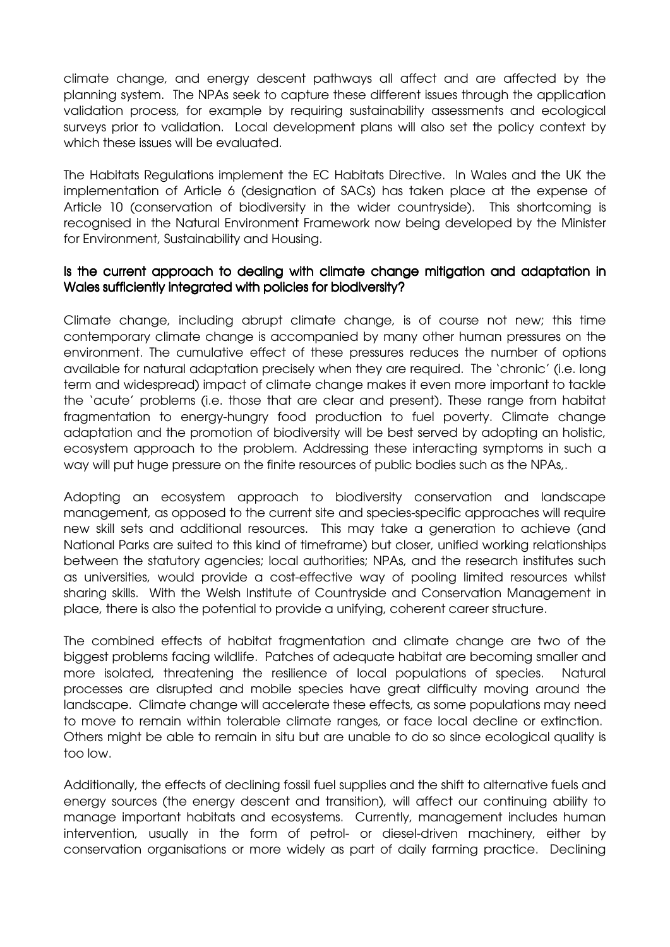climate change, and energy descent pathways all affect and are affected by the planning system. The NPAs seek to capture these different issues through the application validation process, for example by requiring sustainability assessments and ecological surveys prior to validation. Local development plans will also set the policy context by which these issues will be evaluated.

The Habitats Regulations implement the EC Habitats Directive. In Wales and the UK the implementation of Article 6 (designation of SACs) has taken place at the expense of Article 10 (conservation of biodiversity in the wider countryside). This shortcoming is recognised in the Natural Environment Framework now being developed by the Minister for Environment, Sustainability and Housing.

## Is the current approach to dealing with climate change mitigation and adaptation in Wales sufficiently integrated with policies for biodiversity?

Climate change, including abrupt climate change, is of course not new; this time contemporary climate change is accompanied by many other human pressures on the environment. The cumulative effect of these pressures reduces the number of options available for natural adaptation precisely when they are required. The 'chronic' (i.e. long term and widespread) impact of climate change makes it even more important to tackle the 'acute' problems (i.e. those that are clear and present). These range from habitat fragmentation to energy-hungry food production to fuel poverty. Climate change adaptation and the promotion of biodiversity will be best served by adopting an holistic, ecosystem approach to the problem. Addressing these interacting symptoms in such a way will put huge pressure on the finite resources of public bodies such as the NPAs,.

Adopting an ecosystem approach to biodiversity conservation and landscape management, as opposed to the current site and species-specific approaches will require new skill sets and additional resources. This may take a generation to achieve (and National Parks are suited to this kind of timeframe) but closer, unified working relationships between the statutory agencies; local authorities; NPAs, and the research institutes such as universities, would provide a cost-effective way of pooling limited resources whilst sharing skills. With the Welsh Institute of Countryside and Conservation Management in place, there is also the potential to provide a unifying, coherent career structure.

The combined effects of habitat fragmentation and climate change are two of the biggest problems facing wildlife. Patches of adequate habitat are becoming smaller and more isolated, threatening the resilience of local populations of species. Natural processes are disrupted and mobile species have great difficulty moving around the landscape. Climate change will accelerate these effects, as some populations may need to move to remain within tolerable climate ranges, or face local decline or extinction. Others might be able to remain in situ but are unable to do so since ecological quality is too low.

Additionally, the effects of declining fossil fuel supplies and the shift to alternative fuels and energy sources (the energy descent and transition), will affect our continuing ability to manage important habitats and ecosystems. Currently, management includes human intervention, usually in the form of petrol- or diesel-driven machinery, either by conservation organisations or more widely as part of daily farming practice. Declining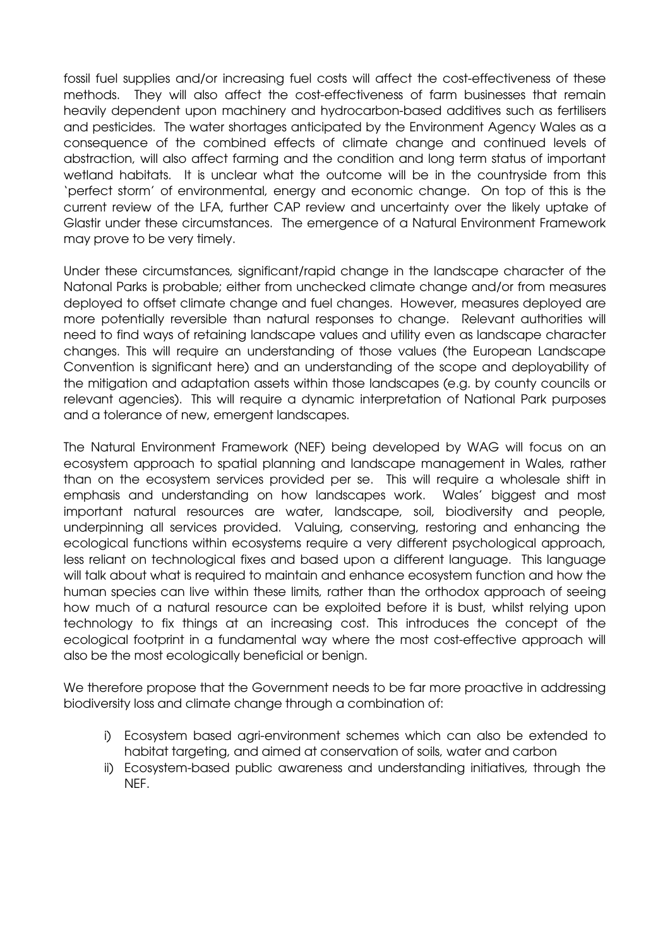fossil fuel supplies and/or increasing fuel costs will affect the cost-effectiveness of these methods. They will also affect the cost-effectiveness of farm businesses that remain heavily dependent upon machinery and hydrocarbon-based additives such as fertilisers and pesticides. The water shortages anticipated by the Environment Agency Wales as a consequence of the combined effects of climate change and continued levels of abstraction, will also affect farming and the condition and long term status of important wetland habitats. It is unclear what the outcome will be in the countryside from this 'perfect storm' of environmental, energy and economic change. On top of this is the current review of the LFA, further CAP review and uncertainty over the likely uptake of Glastir under these circumstances. The emergence of a Natural Environment Framework may prove to be very timely.

Under these circumstances, significant/rapid change in the landscape character of the Natonal Parks is probable; either from unchecked climate change and/or from measures deployed to offset climate change and fuel changes. However, measures deployed are more potentially reversible than natural responses to change. Relevant authorities will need to find ways of retaining landscape values and utility even as landscape character changes. This will require an understanding of those values (the European Landscape Convention is significant here) and an understanding of the scope and deployability of the mitigation and adaptation assets within those landscapes (e.g. by county councils or relevant agencies). This will require a dynamic interpretation of National Park purposes and a tolerance of new, emergent landscapes.

The Natural Environment Framework (NEF) being developed by WAG will focus on an ecosystem approach to spatial planning and landscape management in Wales, rather than on the ecosystem services provided per se. This will require a wholesale shift in emphasis and understanding on how landscapes work. Wales' biggest and most important natural resources are water, landscape, soil, biodiversity and people, underpinning all services provided. Valuing, conserving, restoring and enhancing the ecological functions within ecosystems require a very different psychological approach, less reliant on technological fixes and based upon a different language. This language will talk about what is required to maintain and enhance ecosystem function and how the human species can live within these limits, rather than the orthodox approach of seeing how much of a natural resource can be exploited before it is bust, whilst relying upon technology to fix things at an increasing cost. This introduces the concept of the ecological footprint in a fundamental way where the most cost-effective approach will also be the most ecologically beneficial or benign.

We therefore propose that the Government needs to be far more proactive in addressing biodiversity loss and climate change through a combination of:

- i) Ecosystem based agri-environment schemes which can also be extended to habitat targeting, and aimed at conservation of soils, water and carbon
- ii) Ecosystem-based public awareness and understanding initiatives, through the NEF.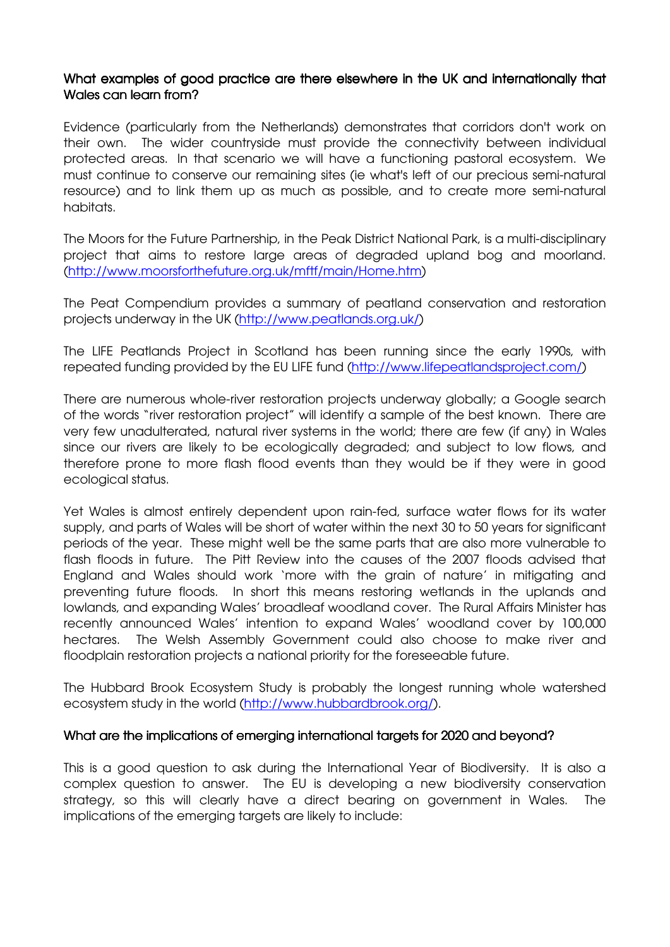## What examples of good practice are there elsewhere in the UK and internationally that Wales can learn from?

Evidence (particularly from the Netherlands) demonstrates that corridors don't work on their own. The wider countryside must provide the connectivity between individual protected areas. In that scenario we will have a functioning pastoral ecosystem. We must continue to conserve our remaining sites (ie what's left of our precious semi-natural resource) and to link them up as much as possible, and to create more semi-natural habitats.

The Moors for the Future Partnership, in the Peak District National Park, is a multi-disciplinary project that aims to restore large areas of degraded upland bog and moorland. (http://www.moorsforthefuture.org.uk/mftf/main/Home.htm)

The Peat Compendium provides a summary of peatland conservation and restoration projects underway in the UK (http://www.peatlands.org.uk/)

The LIFE Peatlands Project in Scotland has been running since the early 1990s, with repeated funding provided by the EU LIFE fund (http://www.lifepeatlandsproject.com/)

There are numerous whole-river restoration projects underway globally; a Google search of the words "river restoration project" will identify a sample of the best known. There are very few unadulterated, natural river systems in the world; there are few (if any) in Wales since our rivers are likely to be ecologically degraded; and subject to low flows, and therefore prone to more flash flood events than they would be if they were in good ecological status.

Yet Wales is almost entirely dependent upon rain-fed, surface water flows for its water supply, and parts of Wales will be short of water within the next 30 to 50 years for significant periods of the year. These might well be the same parts that are also more vulnerable to flash floods in future. The Pitt Review into the causes of the 2007 floods advised that England and Wales should work 'more with the grain of nature' in mitigating and preventing future floods. In short this means restoring wetlands in the uplands and lowlands, and expanding Wales' broadleaf woodland cover. The Rural Affairs Minister has recently announced Wales' intention to expand Wales' woodland cover by 100,000 hectares. The Welsh Assembly Government could also choose to make river and floodplain restoration projects a national priority for the foreseeable future.

The Hubbard Brook Ecosystem Study is probably the longest running whole watershed ecosystem study in the world (http://www.hubbardbrook.org/).

#### What are the implications of emerging international targets for 2020 and beyond?

This is a good question to ask during the International Year of Biodiversity. It is also a complex question to answer. The EU is developing a new biodiversity conservation strategy, so this will clearly have a direct bearing on government in Wales. The implications of the emerging targets are likely to include: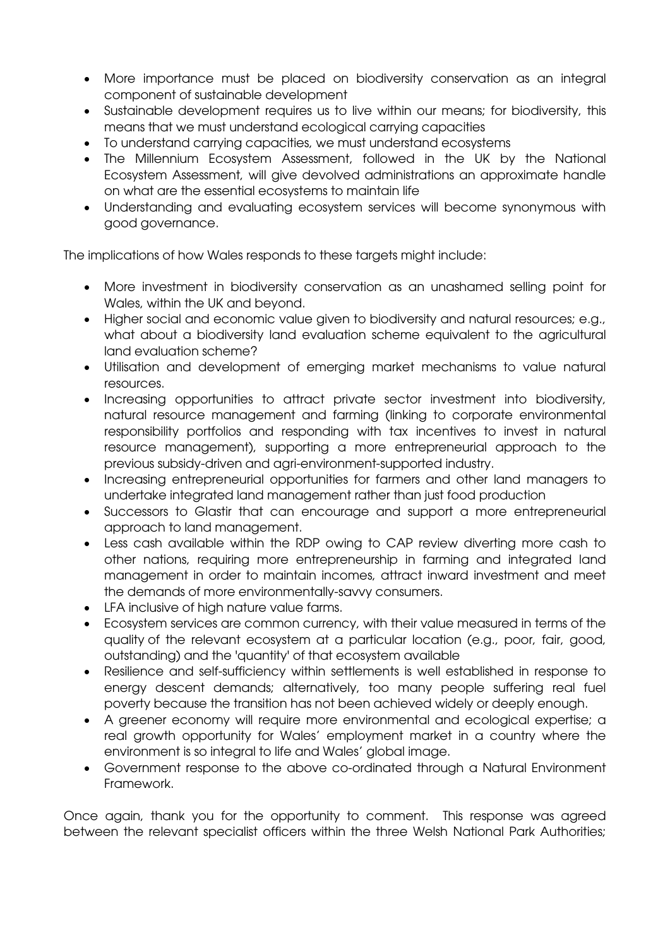- More importance must be placed on biodiversity conservation as an integral component of sustainable development
- Sustainable development requires us to live within our means; for biodiversity, this means that we must understand ecological carrying capacities
- To understand carrying capacities, we must understand ecosystems
- The Millennium Ecosystem Assessment, followed in the UK by the National Ecosystem Assessment, will give devolved administrations an approximate handle on what are the essential ecosystems to maintain life
- Understanding and evaluating ecosystem services will become synonymous with good governance.

The implications of how Wales responds to these targets might include:

- More investment in biodiversity conservation as an unashamed selling point for Wales, within the UK and beyond.
- Higher social and economic value given to biodiversity and natural resources; e.g., what about a biodiversity land evaluation scheme equivalent to the agricultural land evaluation scheme?
- Utilisation and development of emerging market mechanisms to value natural resources.
- Increasing opportunities to attract private sector investment into biodiversity, natural resource management and farming (linking to corporate environmental responsibility portfolios and responding with tax incentives to invest in natural resource management), supporting a more entrepreneurial approach to the previous subsidy-driven and agri-environment-supported industry.
- Increasing entrepreneurial opportunities for farmers and other land managers to undertake integrated land management rather than just food production
- Successors to Glastir that can encourage and support a more entrepreneurial approach to land management.
- Less cash available within the RDP owing to CAP review diverting more cash to other nations, requiring more entrepreneurship in farming and integrated land management in order to maintain incomes, attract inward investment and meet the demands of more environmentally-savvy consumers.
- LFA inclusive of high nature value farms.
- Ecosystem services are common currency, with their value measured in terms of the quality of the relevant ecosystem at a particular location (e.g., poor, fair, good, outstanding) and the 'quantity' of that ecosystem available
- Resilience and self-sufficiency within settlements is well established in response to energy descent demands; alternatively, too many people suffering real fuel poverty because the transition has not been achieved widely or deeply enough.
- A greener economy will require more environmental and ecological expertise; a real growth opportunity for Wales' employment market in a country where the environment is so integral to life and Wales' global image.
- Government response to the above co-ordinated through a Natural Environment Framework.

Once again, thank you for the opportunity to comment. This response was agreed between the relevant specialist officers within the three Welsh National Park Authorities;